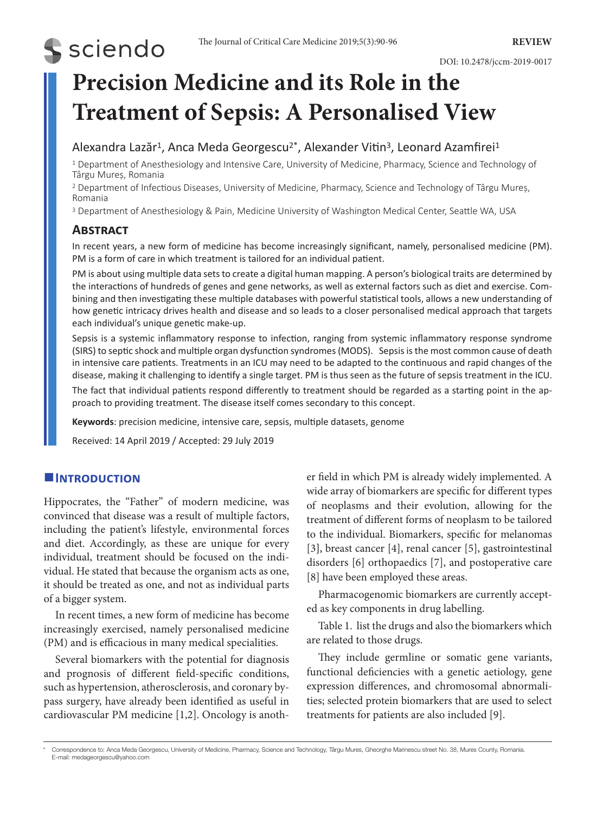# **S** sciendo

## **Precision Medicine and its Role in the Treatment of Sepsis: A Personalised View**

## Alexandra Lazăr<sup>1</sup>, Anca Meda Georgescu<sup>2\*</sup>, Alexander Vitin<sup>3</sup>, Leonard Azamfirei<sup>1</sup>

1 Department of Anesthesiology and Intensive Care, University of Medicine, Pharmacy, Science and Technology of Târgu Mureș, Romania

<sup>2</sup> Department of Infectious Diseases, University of Medicine, Pharmacy, Science and Technology of Târgu Mureș, Romania

<sup>3</sup> Department of Anesthesiology & Pain, Medicine University of Washington Medical Center, Seattle WA, USA

### **Abstract**

In recent years, a new form of medicine has become increasingly significant, namely, personalised medicine (PM). PM is a form of care in which treatment is tailored for an individual patient.

PM is about using multiple data sets to create a digital human mapping. A person's biological traits are determined by the interactions of hundreds of genes and gene networks, as well as external factors such as diet and exercise. Combining and then investigating these multiple databases with powerful statistical tools, allows a new understanding of how genetic intricacy drives health and disease and so leads to a closer personalised medical approach that targets each individual's unique genetic make-up.

Sepsis is a systemic inflammatory response to infection, ranging from systemic inflammatory response syndrome (SIRS) to septic shock and multiple organ dysfunction syndromes (MODS). Sepsis is the most common cause of death in intensive care patients. Treatments in an ICU may need to be adapted to the continuous and rapid changes of the disease, making it challenging to identify a single target. PM is thus seen as the future of sepsis treatment in the ICU.

The fact that individual patients respond differently to treatment should be regarded as a starting point in the approach to providing treatment. The disease itself comes secondary to this concept.

**Keywords**: precision medicine, intensive care, sepsis, multiple datasets, genome

Received: 14 April 2019 / Accepted: 29 July 2019

#### **Introduction**

Hippocrates, the "Father" of modern medicine, was convinced that disease was a result of multiple factors, including the patient's lifestyle, environmental forces and diet. Accordingly, as these are unique for every individual, treatment should be focused on the individual. He stated that because the organism acts as one, it should be treated as one, and not as individual parts of a bigger system.

In recent times, a new form of medicine has become increasingly exercised, namely personalised medicine (PM) and is efficacious in many medical specialities.

Several biomarkers with the potential for diagnosis and prognosis of different field-specific conditions, such as hypertension, atherosclerosis, and coronary bypass surgery, have already been identified as useful in cardiovascular PM medicine [1,2]. Oncology is another field in which PM is already widely implemented. A wide array of biomarkers are specific for different types of neoplasms and their evolution, allowing for the treatment of different forms of neoplasm to be tailored to the individual. Biomarkers, specific for melanomas [3], breast cancer [4], renal cancer [5], gastrointestinal disorders [6] orthopaedics [7], and postoperative care [8] have been employed these areas.

Pharmacogenomic biomarkers are currently accepted as key components in drug labelling.

Table 1. list the drugs and also the biomarkers which are related to those drugs.

They include germline or somatic gene variants, functional deficiencies with a genetic aetiology, gene expression differences, and chromosomal abnormalities; selected protein biomarkers that are used to select treatments for patients are also included [9].

<sup>\*</sup> Correspondence to: Anca Meda Georgescu, University of Medicine, Pharmacy, Science and Technology, Târgu Mures, Gheorghe Marinescu street No. 38, Mures County, Romania. E-mail: medageorgescu@yahoo.com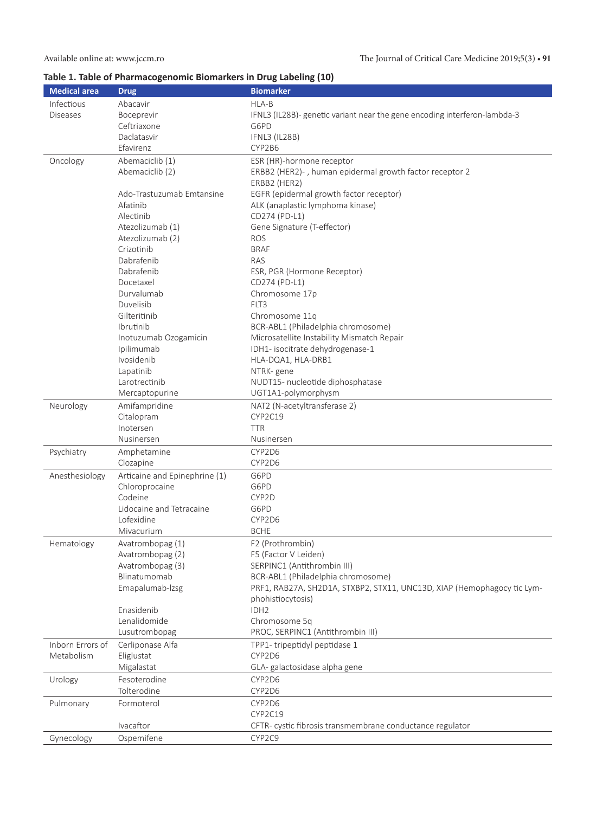### **Table 1. Table of Pharmacogenomic Biomarkers in Drug Labeling (10)**

| <b>Medical area</b> | <b>Drug</b>                   | <b>Biomarker</b>                                                          |
|---------------------|-------------------------------|---------------------------------------------------------------------------|
| Infectious          | Abacavir                      | HLA-B                                                                     |
| <b>Diseases</b>     | Boceprevir                    | IFNL3 (IL28B)- genetic variant near the gene encoding interferon-lambda-3 |
|                     | Ceftriaxone                   | G6PD                                                                      |
|                     | Daclatasvir                   | IFNL3 (IL28B)                                                             |
|                     | Efavirenz                     | CYP2B6                                                                    |
| Oncology            | Abemaciclib (1)               | ESR (HR)-hormone receptor                                                 |
|                     | Abemaciclib (2)               | ERBB2 (HER2)-, human epidermal growth factor receptor 2                   |
|                     |                               | ERBB2 (HER2)                                                              |
|                     | Ado-Trastuzumab Emtansine     | EGFR (epidermal growth factor receptor)                                   |
|                     | Afatinib                      | ALK (anaplastic lymphoma kinase)                                          |
|                     | Alectinib                     | CD274 (PD-L1)                                                             |
|                     | Atezolizumab (1)              | Gene Signature (T-effector)                                               |
|                     | Atezolizumab (2)              | <b>ROS</b>                                                                |
|                     | Crizotinib                    | <b>BRAF</b>                                                               |
|                     | Dabrafenib                    | RAS                                                                       |
|                     | Dabrafenib                    | ESR, PGR (Hormone Receptor)                                               |
|                     | Docetaxel                     | CD274 (PD-L1)                                                             |
|                     | Durvalumab                    | Chromosome 17p                                                            |
|                     | Duvelisib                     | FLT3                                                                      |
|                     | Gilteritinib                  | Chromosome 11q                                                            |
|                     | Ibrutinib                     | BCR-ABL1 (Philadelphia chromosome)                                        |
|                     | Inotuzumab Ozogamicin         | Microsatellite Instability Mismatch Repair                                |
|                     | Ipilimumab                    | IDH1- isocitrate dehydrogenase-1                                          |
|                     | Ivosidenib                    | HLA-DQA1, HLA-DRB1                                                        |
|                     | Lapatinib                     | NTRK-gene                                                                 |
|                     | Larotrectinib                 | NUDT15- nucleotide diphosphatase                                          |
|                     | Mercaptopurine                | UGT1A1-polymorphysm                                                       |
| Neurology           | Amifampridine                 | NAT2 (N-acetyltransferase 2)                                              |
|                     | Citalopram                    | CYP2C19                                                                   |
|                     | Inotersen                     | <b>TTR</b>                                                                |
|                     | Nusinersen                    | Nusinersen                                                                |
| Psychiatry          | Amphetamine                   | CYP2D6                                                                    |
|                     | Clozapine                     | CYP2D6                                                                    |
| Anesthesiology      | Articaine and Epinephrine (1) | G6PD                                                                      |
|                     | Chloroprocaine                | G6PD                                                                      |
|                     | Codeine                       | CYP2D                                                                     |
|                     | Lidocaine and Tetracaine      | G6PD                                                                      |
|                     | Lofexidine                    | CYP2D6                                                                    |
|                     | Mivacurium                    | <b>BCHE</b>                                                               |
| Hematology          | Avatrombopag (1)              | F2 (Prothrombin)                                                          |
|                     | Avatrombopag (2)              | F5 (Factor V Leiden)                                                      |
|                     | Avatrombopag (3)              | SERPINC1 (Antithrombin III)                                               |
|                     | Blinatumomab                  | BCR-ABL1 (Philadelphia chromosome)                                        |
|                     | Emapalumab-Izsg               | PRF1, RAB27A, SH2D1A, STXBP2, STX11, UNC13D, XIAP (Hemophagocy tic Lym-   |
|                     |                               | phohistiocytosis)                                                         |
|                     | Enasidenib                    | IDH <sub>2</sub>                                                          |
|                     | Lenalidomide                  | Chromosome 5q                                                             |
|                     | Lusutrombopag                 | PROC, SERPINC1 (Antithrombin III)                                         |
| Inborn Errors of    | Cerliponase Alfa              | TPP1- tripeptidyl peptidase 1                                             |
| Metabolism          | Eliglustat                    | CYP2D6                                                                    |
|                     | Migalastat                    | GLA-galactosidase alpha gene                                              |
| Urology             | Fesoterodine                  | CYP2D6                                                                    |
|                     | Tolterodine                   | CYP2D6                                                                    |
| Pulmonary           | Formoterol                    | CYP2D6                                                                    |
|                     |                               | CYP2C19                                                                   |
|                     | Ivacaftor                     | CFTR- cystic fibrosis transmembrane conductance regulator                 |
| Gynecology          | Ospemifene                    | CYP2C9                                                                    |
|                     |                               |                                                                           |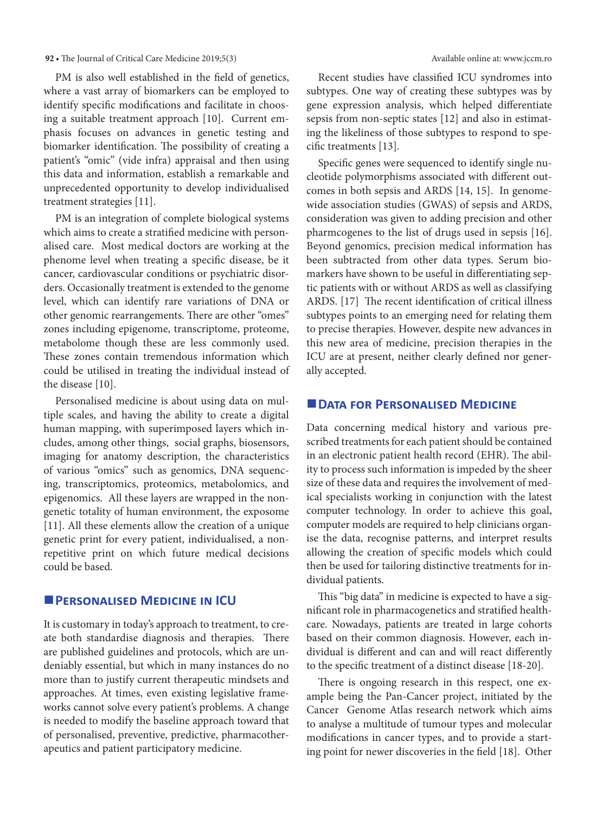#### **92 •** The Journal of Critical Care Medicine 2019;5(3) Available online at: www.jccm.ro

PM is also well established in the field of genetics, where a vast array of biomarkers can be employed to identify specific modifications and facilitate in choosing a suitable treatment approach [10]. Current emphasis focuses on advances in genetic testing and biomarker identification. The possibility of creating a patient's "omic" (vide infra) appraisal and then using this data and information, establish a remarkable and unprecedented opportunity to develop individualised treatment strategies [11].

PM is an integration of complete biological systems which aims to create a stratified medicine with personalised care. Most medical doctors are working at the phenome level when treating a specific disease, be it cancer, cardiovascular conditions or psychiatric disorders. Occasionally treatment is extended to the genome level, which can identify rare variations of DNA or other genomic rearrangements. There are other "omes" zones including epigenome, transcriptome, proteome, metabolome though these are less commonly used. These zones contain tremendous information which could be utilised in treating the individual instead of the disease [10].

Personalised medicine is about using data on multiple scales, and having the ability to create a digital human mapping, with superimposed layers which includes, among other things, social graphs, biosensors, imaging for anatomy description, the characteristics of various "omics" such as genomics, DNA sequencing, transcriptomics, proteomics, metabolomics, and epigenomics. All these layers are wrapped in the nongenetic totality of human environment, the exposome [11]. All these elements allow the creation of a unique genetic print for every patient, individualised, a nonrepetitive print on which future medical decisions could be based.

#### **PERSONALISED MEDICINE IN ICU**

It is customary in today's approach to treatment, to create both standardise diagnosis and therapies. There are published guidelines and protocols, which are undeniably essential, but which in many instances do no more than to justify current therapeutic mindsets and approaches. At times, even existing legislative frameworks cannot solve every patient's problems. A change is needed to modify the baseline approach toward that of personalised, preventive, predictive, pharmacotherapeutics and patient participatory medicine.

Recent studies have classified ICU syndromes into subtypes. One way of creating these subtypes was by gene expression analysis, which helped differentiate sepsis from non-septic states [12] and also in estimating the likeliness of those subtypes to respond to specific treatments [13].

Specific genes were sequenced to identify single nucleotide polymorphisms associated with different outcomes in both sepsis and ARDS [14, 15]. In genomewide association studies (GWAS) of sepsis and ARDS, consideration was given to adding precision and other pharmcogenes to the list of drugs used in sepsis [16]. Beyond genomics, precision medical information has been subtracted from other data types. Serum biomarkers have shown to be useful in differentiating septic patients with or without ARDS as well as classifying ARDS. [17] The recent identification of critical illness subtypes points to an emerging need for relating them to precise therapies. However, despite new advances in this new area of medicine, precision therapies in the ICU are at present, neither clearly defined nor generally accepted.

#### **DATA FOR PERSONALISED MEDICINE**

Data concerning medical history and various prescribed treatments for each patient should be contained in an electronic patient health record (EHR). The ability to process such information is impeded by the sheer size of these data and requires the involvement of medical specialists working in conjunction with the latest computer technology. In order to achieve this goal, computer models are required to help clinicians organise the data, recognise patterns, and interpret results allowing the creation of specific models which could then be used for tailoring distinctive treatments for individual patients.

This "big data" in medicine is expected to have a significant role in pharmacogenetics and stratified healthcare. Nowadays, patients are treated in large cohorts based on their common diagnosis. However, each individual is different and can and will react differently to the specific treatment of a distinct disease [18-20].

There is ongoing research in this respect, one example being the Pan-Cancer project, initiated by the Cancer Genome Atlas research network which aims to analyse a multitude of tumour types and molecular modifications in cancer types, and to provide a starting point for newer discoveries in the field [18]. Other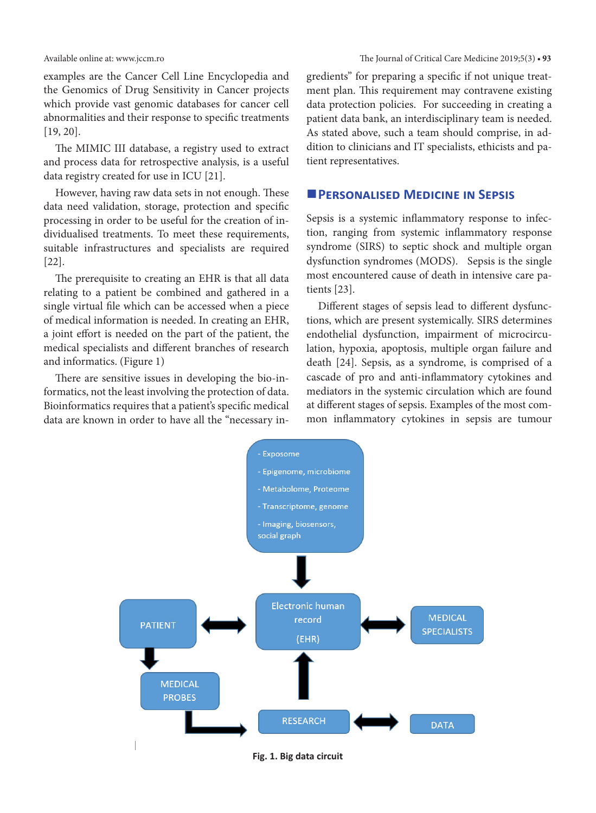examples are the Cancer Cell Line Encyclopedia and the Genomics of Drug Sensitivity in Cancer projects which provide vast genomic databases for cancer cell abnormalities and their response to specific treatments [19, 20].

The MIMIC III database, a registry used to extract and process data for retrospective analysis, is a useful data registry created for use in ICU [21].

However, having raw data sets in not enough. These data need validation, storage, protection and specific processing in order to be useful for the creation of individualised treatments. To meet these requirements, suitable infrastructures and specialists are required [22].

The prerequisite to creating an EHR is that all data relating to a patient be combined and gathered in a single virtual file which can be accessed when a piece of medical information is needed. In creating an EHR, a joint effort is needed on the part of the patient, the medical specialists and different branches of research and informatics. (Figure 1)

There are sensitive issues in developing the bio-informatics, not the least involving the protection of data. Bioinformatics requires that a patient's specific medical data are known in order to have all the "necessary in-

Available online at: www.jccm.ro The Journal of Critical Care Medicine 2019;5(3) **• 93**

gredients" for preparing a specific if not unique treatment plan. This requirement may contravene existing data protection policies. For succeeding in creating a patient data bank, an interdisciplinary team is needed. As stated above, such a team should comprise, in addition to clinicians and IT specialists, ethicists and patient representatives.

#### **PERSONALISED MEDICINE IN SEPSIS**

Sepsis is a systemic inflammatory response to infection, ranging from systemic inflammatory response syndrome (SIRS) to septic shock and multiple organ dysfunction syndromes (MODS). Sepsis is the single most encountered cause of death in intensive care patients [23].

Different stages of sepsis lead to different dysfunctions, which are present systemically. SIRS determines endothelial dysfunction, impairment of microcirculation, hypoxia, apoptosis, multiple organ failure and death [24]. Sepsis, as a syndrome, is comprised of a cascade of pro and anti-inflammatory cytokines and mediators in the systemic circulation which are found at different stages of sepsis. Examples of the most common inflammatory cytokines in sepsis are tumour



**Fig. 1. Big data circuit**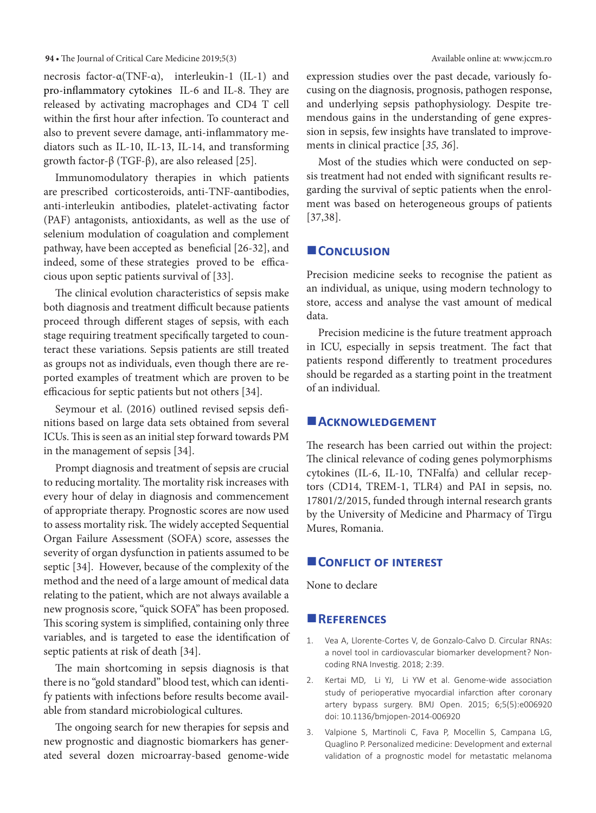#### **94 •** The Journal of Critical Care Medicine 2019;5(3) Available online at: www.jccm.ro

necrosis factor-α(TNF-α), interleukin-1 (IL-1) and pro-inflammatory cytokines IL-6 and IL-8. They are released by activating macrophages and CD4 T cell within the first hour after infection. To counteract and also to prevent severe damage, anti-inflammatory mediators such as IL-10, IL-13, IL-14, and transforming growth factor-β (TGF-β), are also released [25].

Immunomodulatory therapies in which patients are prescribed corticosteroids, anti-TNF-αantibodies, anti-interleukin antibodies, platelet-activating factor (PAF) antagonists, antioxidants, as well as the use of selenium modulation of coagulation and complement pathway, have been accepted as beneficial [26-32], and indeed, some of these strategies proved to be efficacious upon septic patients survival of [33].

The clinical evolution characteristics of sepsis make both diagnosis and treatment difficult because patients proceed through different stages of sepsis, with each stage requiring treatment specifically targeted to counteract these variations. Sepsis patients are still treated as groups not as individuals, even though there are reported examples of treatment which are proven to be efficacious for septic patients but not others [34].

Seymour et al. (2016) outlined revised sepsis definitions based on large data sets obtained from several ICUs. This is seen as an initial step forward towards PM in the management of sepsis [34].

Prompt diagnosis and treatment of sepsis are crucial to reducing mortality. The mortality risk increases with every hour of delay in diagnosis and commencement of appropriate therapy. Prognostic scores are now used to assess mortality risk. The widely accepted Sequential Organ Failure Assessment (SOFA) score, assesses the severity of organ dysfunction in patients assumed to be septic [34]. However, because of the complexity of the method and the need of a large amount of medical data relating to the patient, which are not always available a new prognosis score, "quick SOFA" has been proposed. This scoring system is simplified, containing only three variables, and is targeted to ease the identification of septic patients at risk of death [34].

The main shortcoming in sepsis diagnosis is that there is no "gold standard" blood test, which can identify patients with infections before results become available from standard microbiological cultures.

The ongoing search for new therapies for sepsis and new prognostic and diagnostic biomarkers has generated several dozen microarray-based genome-wide expression studies over the past decade, variously focusing on the diagnosis, prognosis, pathogen response, and underlying sepsis pathophysiology. Despite tremendous gains in the understanding of gene expression in sepsis, few insights have translated to improvements in clinical practice [*35, 36*].

Most of the studies which were conducted on sepsis treatment had not ended with significant results regarding the survival of septic patients when the enrolment was based on heterogeneous groups of patients [37,38].

#### **CONCLUSION**

Precision medicine seeks to recognise the patient as an individual, as unique, using modern technology to store, access and analyse the vast amount of medical data.

Precision medicine is the future treatment approach in ICU, especially in sepsis treatment. The fact that patients respond differently to treatment procedures should be regarded as a starting point in the treatment of an individual.

#### **Acknowledgement**

The research has been carried out within the project: The clinical relevance of coding genes polymorphisms cytokines (IL-6, IL-10, TNFalfa) and cellular receptors (CD14, TREM-1, TLR4) and PAI in sepsis, no. 17801/2/2015, funded through internal research grants by the University of Medicine and Pharmacy of Tîrgu Mures, Romania.

#### **CONFLICT OF INTEREST**

None to declare

#### **References**

- 1. Vea A, Llorente-Cortes V, de Gonzalo-Calvo D. Circular RNAs: a novel tool in cardiovascular biomarker development? Noncoding RNA Investig. 2018; 2:39.
- 2. [Kertai](https://www.ncbi.nlm.nih.gov/pubmed/?term=Kertai%20MD%5BAuthor%5D&cauthor=true&cauthor_uid=25948407) MD, [Li](https://www.ncbi.nlm.nih.gov/pubmed/?term=Li%20YJ%5BAuthor%5D&cauthor=true&cauthor_uid=25948407) YJ, [Li](https://www.ncbi.nlm.nih.gov/pubmed/?term=Li%20YW%5BAuthor%5D&cauthor=true&cauthor_uid=25948407) YW et al. Genome-wide association study of perioperative myocardial infarction after coronary artery bypass surgery. [BMJ Open.](https://www.ncbi.nlm.nih.gov/pubmed/25948407) 2015; 6;5(5):e006920 doi: [10.1136/bmjopen-2014-006920](https://dx.doi.org/10.1136%2Fbmjopen-2014-006920)
- 3. [Valpione](file:///G:/Clienti/_Journals/JCCM/2019_5_3/materiale/lazar/javascript:void(0);) S, [Martinoli](file:///G:/Clienti/_Journals/JCCM/2019_5_3/materiale/lazar/javascript:void(0);) C, [Fava](file:///G:/Clienti/_Journals/JCCM/2019_5_3/materiale/lazar/javascript:void(0);) P, [Mocellin](file:///G:/Clienti/_Journals/JCCM/2019_5_3/materiale/lazar/javascript:void(0);) S, [Campana](file:///G:/Clienti/_Journals/JCCM/2019_5_3/materiale/lazar/javascript:void(0);) LG, [Quaglino](file:///G:/Clienti/_Journals/JCCM/2019_5_3/materiale/lazar/javascript:void(0);) P. Personalized medicine: Development and external validation of a prognostic model for metastatic melanoma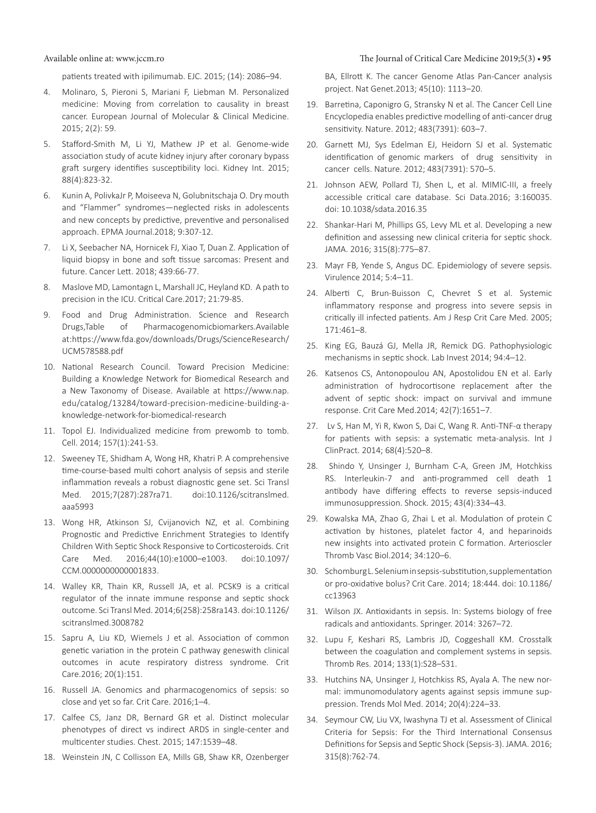#### Available online at: www.jccm.ro The Journal of Critical Care Medicine 2019;5(3) **• 95**

patients treated with ipilimumab. EJC. 2015; (14): 2086–94.

- 4. Molinaro, S, Pieroni S, Mariani F, Liebman M. Personalized medicine: Moving from correlation to causality in breast cancer. European Journal of Molecular & Clinical Medicine. 2015; 2(2): 59.
- 5. [Stafford-Smith M](https://www.ncbi.nlm.nih.gov/pubmed/?term=Stafford-Smith%20M%5BAuthor%5D&cauthor=true&cauthor_uid=26083657), [Li YJ,](https://www.ncbi.nlm.nih.gov/pubmed/?term=Li%20YJ%5BAuthor%5D&cauthor=true&cauthor_uid=26083657) [Mathew JP](https://www.ncbi.nlm.nih.gov/pubmed/?term=Mathew%20JP%5BAuthor%5D&cauthor=true&cauthor_uid=26083657) et al. Genome-wide association study of acute kidney injury after coronary bypass graft surgery identifies susceptibility loci. [Kidney Int.](https://www.ncbi.nlm.nih.gov/pubmed/26083657) 2015; 88(4):823-32.
- 6. Kunin A, PolivkaJr P, Moiseeva N, Golubnitschaja O. Dry mouth and "Flammer" syndromes—neglected risks in adolescents and new concepts by predictive, preventive and personalised approach. EPMA Journal.2018; 9:307-12.
- 7. Li X, Seebacher NA, Hornicek FJ, Xiao T, Duan Z. Application of liquid biopsy in bone and soft tissue sarcomas: Present and future. Cancer Lett. 2018; 439:66-77.
- 8. Maslove MD, Lamontagn L, Marshall JC, Heyland KD. A path to precision in the ICU. Critical Care.2017; 21:79-85.
- 9. Food and Drug Administration. Science and Research Drugs,Table of Pharmacogenomicbiomarkers.Available at:https://www.fda.gov/downloads/Drugs/ScienceResearch/ UCM578588.pdf
- 10. National Research Council. Toward Precision Medicine: Building a Knowledge Network for Biomedical Research and a New Taxonomy of Disease. Available at https://www.nap. edu/catalog/13284/toward-precision-medicine-building-aknowledge-network-for-biomedical-research
- 11. Topol EJ. Individualized medicine from prewomb to tomb. [Cell.](https://www.ncbi.nlm.nih.gov/pubmed/24679539) 2014; 157(1):241-53.
- 12. Sweeney TE, Shidham A, Wong HR, Khatri P. A comprehensive time-course-based multi cohort analysis of sepsis and sterile inflammation reveals a robust diagnostic gene set. Sci Transl Med. 2015;7(287):287ra71. doi:10.1126/scitranslmed. aaa5993
- 13. Wong HR, Atkinson SJ, Cvijanovich NZ, et al. Combining Prognostic and Predictive Enrichment Strategies to Identify Children With Septic Shock Responsive to Corticosteroids. Crit Care Med. 2016;44(10):e1000–e1003. doi:10.1097/ CCM.0000000000001833.
- 14. Walley KR, Thain KR, Russell JA, et al. PCSK9 is a critical regulator of the innate immune response and septic shock outcome. Sci Transl Med. 2014;6(258):258ra143. doi:10.1126/ scitranslmed.3008782
- 15. Sapru A, Liu KD, Wiemels J et al. Association of common genetic variation in the protein C pathway geneswith clinical outcomes in acute respiratory distress syndrome. Crit Care.2016; 20(1):151.
- 16. Russell JA. Genomics and pharmacogenomics of sepsis: so close and yet so far. Crit Care. 2016;1–4.
- 17. Calfee CS, Janz DR, Bernard GR et al. Distinct molecular phenotypes of direct vs indirect ARDS in single-center and multicenter studies. Chest. 2015; 147:1539–48.
- 18. Weinstein JN, C Collisson EA, Mills GB, Shaw KR, Ozenberger

BA, Ellrott K. The cancer Genome Atlas Pan-Cancer analysis project. Nat Genet.2013; 45(10): 1113–20.

- 19. Barretina, Caponigro G, Stransky N et al. The Cancer Cell Line Encyclopedia enables predictive modelling of anti-cancer drug sensitivity. Nature. 2012; 483(7391): 603–7.
- 20. Garnett MJ, Sys Edelman EJ, Heidorn SJ et al. Systematic identification of genomic markers of drug sensitivity in cancer cells. Nature. 2012; 483(7391): 570–5.
- 21. Johnson AEW, Pollard TJ, Shen L, et al. MIMIC-III, a freely accessible critical care database. Sci Data.2016; 3:160035. doi: [10.1038/sdata.2016.35](https://dx.doi.org/10.1038%2Fsdata.2016.35)
- 22. Shankar-Hari M, Phillips GS, Levy ML et al. Developing a new definition and assessing new clinical criteria for septic shock. JAMA. 2016; 315(8):775–87.
- 23. Mayr FB, Yende S, Angus DC. Epidemiology of severe sepsis. Virulence 2014; 5:4–11.
- 24. Alberti C, Brun-Buisson C, Chevret S et al. Systemic inflammatory response and progress into severe sepsis in critically ill infected patients. Am J Resp Crit Care Med. 2005; 171:461–8.
- 25. King EG, Bauzá GJ, Mella JR, Remick DG. Pathophysiologic mechanisms in septic shock. Lab Invest 2014; 94:4–12.
- 26. Katsenos CS, Antonopoulou AN, Apostolidou EN et al. Early administration of hydrocortisone replacement after the advent of septic shock: impact on survival and immune response. Crit Care Med.2014; 42(7):1651–7.
- 27. Lv S, Han M, Yi R, Kwon S, Dai C, Wang R. Anti‐TNF‐α therapy for patients with sepsis: a systematic meta-analysis. Int J ClinPract. 2014; 68(4):520–8.
- 28. Shindo Y, Unsinger J, Burnham C-A, Green JM, Hotchkiss RS. Interleukin-7 and anti-programmed cell death 1 antibody have differing effects to reverse sepsis-induced immunosuppression. Shock. 2015; 43(4):334–43.
- 29. Kowalska MA, Zhao G, Zhai L et al. Modulation of protein C activation by histones, platelet factor 4, and heparinoids new insights into activated protein C formation. Arterioscler Thromb Vasc Biol.2014; 34:120–6.
- 30. Schomburg L. Selenium in sepsis-substitution, supplementation or pro-oxidative bolus? Crit Care. 2014; 18:444. doi: [10.1186/](https://dx.doi.org/10.1186%2Fcc13963) [cc13963](https://dx.doi.org/10.1186%2Fcc13963)
- 31. Wilson JX. Antioxidants in sepsis. In: Systems biology of free radicals and antioxidants. Springer. 2014: 3267–72.
- 32. Lupu F, Keshari RS, Lambris JD, Coggeshall KM. Crosstalk between the coagulation and complement systems in sepsis. Thromb Res. 2014; 133(1):S28–S31.
- 33. Hutchins NA, Unsinger J, Hotchkiss RS, Ayala A. The new normal: immunomodulatory agents against sepsis immune suppression. Trends Mol Med. 2014; 20(4):224–33.
- 34. Seymour CW, Liu VX, Iwashyna TJ et al. Assessment of Clinical Criteria for Sepsis: For the Third International Consensus Definitions for Sepsis and Septic Shock (Sepsis-3). JAMA. 2016; 315(8):762-74.